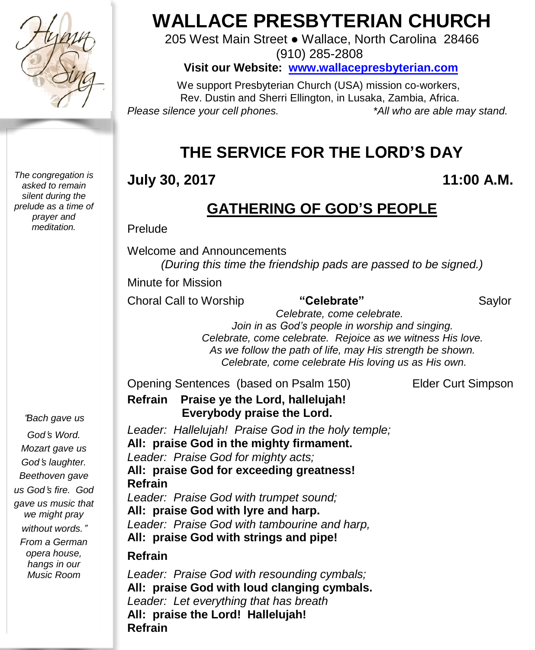

*The congregation is asked to remain silent during the prelude as a time of prayer and meditation.*

"*Bach gave us*

# **WALLACE PRESBYTERIAN CHURCH**

205 West Main Street ● Wallace, North Carolina 28466 (910) 285-2808

**Visit our Website: [www.wallacepresbyterian.com](http://www.wallacepresbyterian.com/)**

 We support Presbyterian Church (USA) mission co-workers, Rev. Dustin and Sherri Ellington, in Lusaka, Zambia, Africa. *Please silence your cell phones. \*All who are able may stand.*

# **THE SERVICE FOR THE LORD'S DAY**

## **July 30, 2017 11:00 A.M.**

# **GATHERING OF GOD'S PEOPLE**

Prelude

Welcome and Announcements *(During this time the friendship pads are passed to be signed.)*

Minute for Mission

Choral Call to Worship **"Celebrate"** Saylor

 *Celebrate, come celebrate.* 

 *Join in as God's people in worship and singing. Celebrate, come celebrate. Rejoice as we witness His love. As we follow the path of life, may His strength be shown. Celebrate, come celebrate His loving us as His own.*

Opening Sentences (based on Psalm 150) Elder Curt Simpson

**Refrain Praise ye the Lord, hallelujah! Everybody praise the Lord.**

*God*'*s Word. Mozart gave us God*'*s laughter. Beethoven gave us God*'*s fire. God gave us music that we might pray without words.*" *From a German opera house, hangs in our Music Room* **Refrain Refrain**

*Leader: Hallelujah! Praise God in the holy temple;* **All: praise God in the mighty firmament.** *Leader: Praise God for mighty acts;* **All: praise God for exceeding greatness!** *Leader: Praise God with trumpet sound;* **All: praise God with lyre and harp.** *Leader: Praise God with tambourine and harp,* **All: praise God with strings and pipe!** *Leader: Praise God with resounding cymbals;*

**All: praise God with loud clanging cymbals.** *Leader: Let everything that has breath* **All: praise the Lord! Hallelujah! Refrain**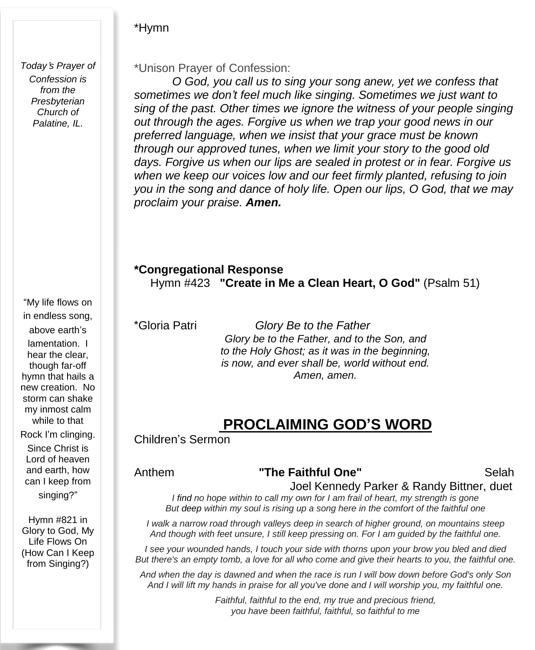### \*Hymn

*Today*'*s Prayer of Confession is from the Presbyterian Church of Palatine, IL.*

#### \*Unison Prayer of Confession:

*O God, you call us to sing your song anew, yet we confess that sometimes we don't feel much like singing. Sometimes we just want to sing of the past. Other times we ignore the witness of your people singing out through the ages. Forgive us when we trap your good news in our preferred language, when we insist that your grace must be known through our approved tunes, when we limit your story to the good old days. Forgive us when our lips are sealed in protest or in fear. Forgive us when we keep our voices low and our feet firmly planted, refusing to join you in the song and dance of holy life. Open our lips, O God, that we may proclaim your praise. Amen.*

#### **\*Congregational Response** Hymn #423 **"Create in Me a Clean Heart, O God"** (Psalm 51)

\*Gloria Patri *Glory Be to the Father Glory be to the Father, and to the Son, and to the Holy Ghost; as it was in the beginning, is now, and ever shall be, world without end. Amen, amen.*

### **PROCLAIMING GOD'S WORD**

Children's Sermon

### Anthem **"The Faithful One"** Selah

Joel Kennedy Parker & Randy Bittner, duet

*I [find](http://www.songlyrics.com/selah/the-faithful-one-lyrics/) no hope within to call my own for I am frail of heart, my strength is gone But [deep](http://www.songlyrics.com/selah/the-faithful-one-lyrics/) within my soul is rising up a song here in the comfort of the faithful one*

*I walk a narrow road through valleys deep in search of higher ground, on mountains steep And though with feet unsure, I still keep pressing on. For I am guided by the faithful one.*

*I see your wounded hands, I touch your side with thorns upon your brow you bled and died* But there's an empty tomb, a love for all who come and give their hearts to you, the faithful one.

And when the day is dawned and when the race is run I will bow down before God's only Son And I will lift my hands in praise for all you've done and I will worship you, my faithful one.

> *Faithful, faithful to the end, my true and precious friend, you have been faithful, faithful, so faithful to me*

in endless song, above earth's lamentation. I hear the clear, though far-off hymn that hails a new creation. No storm can shake my inmost calm while to that Rock I'm clinging. Since Christ is Lord of heaven and earth, how can I keep from singing?"

"My life flows on

Hymn #821 in Glory to God, My Life Flows On (How Can I Keep from Singing?)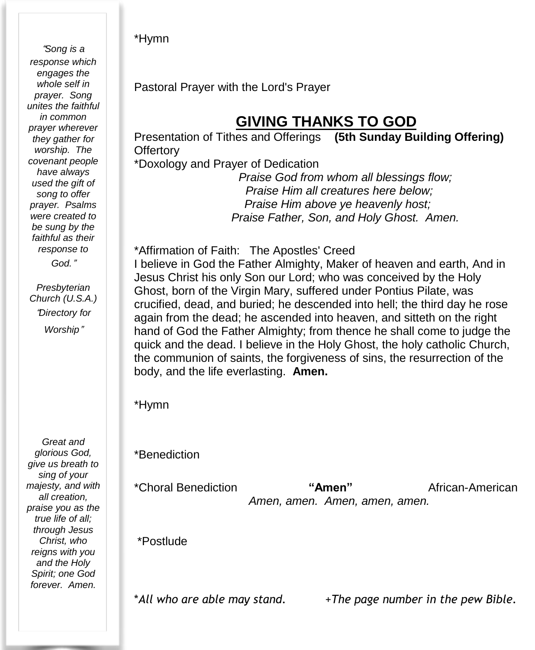#### \*Hymn

"*Song is a response which engages the whole self in prayer. Song unites the faithful in common prayer wherever they gather for worship. The covenant people have always used the gift of song to offer prayer. Psalms were created to be sung by the faithful as their response to God.*"

*Presbyterian Church (U.S.A.)* "*Directory for Worship*"

*Great and glorious God, give us breath to sing of your majesty, and with all creation, praise you as the true life of all; through Jesus Christ, who reigns with you and the Holy Spirit; one God forever. Amen.*

#### Pastoral Prayer with the Lord's Prayer

### **GIVING THANKS TO GOD**

Presentation of Tithes and Offerings **(5th Sunday Building Offering) Offertory** 

\*Doxology and Prayer of Dedication

*Praise God from whom all blessings flow;* *Praise Him all creatures here below;* *Praise Him above ye heavenly host; Praise Father, Son, and Holy Ghost. Amen.*

\*Affirmation of Faith: The Apostles' Creed I believe in God the Father Almighty, Maker of heaven and earth, And in Jesus Christ his only Son our Lord; who was conceived by the Holy Ghost, born of the Virgin Mary, suffered under Pontius Pilate, was crucified, dead, and buried; he descended into hell; the third day he rose again from the dead; he ascended into heaven, and sitteth on the right hand of God the Father Almighty; from thence he shall come to judge the quick and the dead. I believe in the Holy Ghost, the holy catholic Church, the communion of saints, the forgiveness of sins, the resurrection of the body, and the life everlasting. **Amen.**

\*Hymn

\*Benediction

\*Choral Benediction **"Amen"** African-American *Amen, amen. Amen, amen, amen.*

\*Postlude

\**All who are able may stand.* +*The page number in the pew Bible.*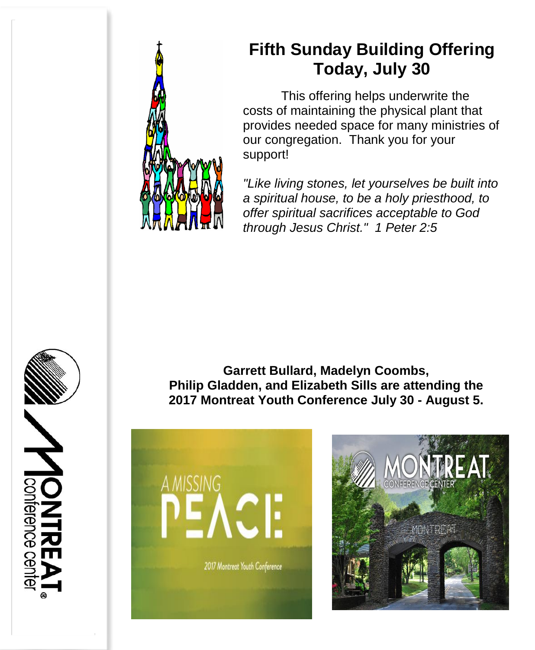

# **Fifth Sunday Building Offering Today, July 30**

This offering helps underwrite the costs of maintaining the physical plant that provides needed space for many ministries of our congregation. Thank you for your support!

*"Like living stones, let yourselves be built into a spiritual house, to be a holy priesthood, to offer spiritual sacrifices acceptable to God through Jesus Christ." 1 Peter 2:5*

**Garrett Bullard, Madelyn Coombs, Philip Gladden, and Elizabeth Sills are attending the 2017 Montreat Youth Conference July 30 - August 5.**





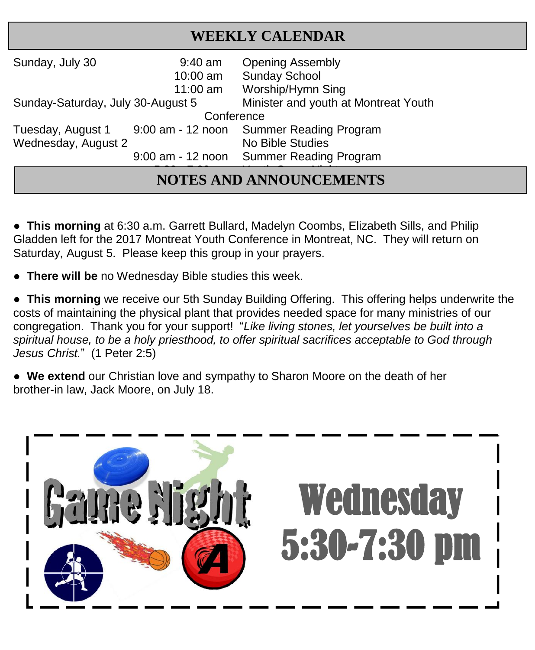## **WEEKLY CALENDAR**

| Sunday, July 30                   | $9:40$ am  | <b>Opening Assembly</b>                  |
|-----------------------------------|------------|------------------------------------------|
|                                   | $10:00$ am | <b>Sunday School</b>                     |
|                                   | 11:00 am   | Worship/Hymn Sing                        |
| Sunday-Saturday, July 30-August 5 |            | Minister and youth at Montreat Youth     |
| Conference                        |            |                                          |
| Tuesday, August 1                 |            | 9:00 am - 12 noon Summer Reading Program |
| Wednesday, August 2               |            | No Bible Studies                         |
|                                   |            | 9:00 am - 12 noon Summer Reading Program |

# **NOTES AND ANNOUNCEMENTS**

● **This morning** at 6:30 a.m. Garrett Bullard, Madelyn Coombs, Elizabeth Sills, and Philip Gladden left for the 2017 Montreat Youth Conference in Montreat, NC. They will return on Saturday, August 5. Please keep this group in your prayers.

● **There will be** no Wednesday Bible studies this week.

● **This morning** we receive our 5th Sunday Building Offering. This offering helps underwrite the costs of maintaining the physical plant that provides needed space for many ministries of our congregation. Thank you for your support! "*Like living stones, let yourselves be built into a spiritual house, to be a holy priesthood, to offer spiritual sacrifices acceptable to God through Jesus Christ.*" (1 Peter 2:5)

● **We extend** our Christian love and sympathy to Sharon Moore on the death of her brother-in law, Jack Moore, on July 18.